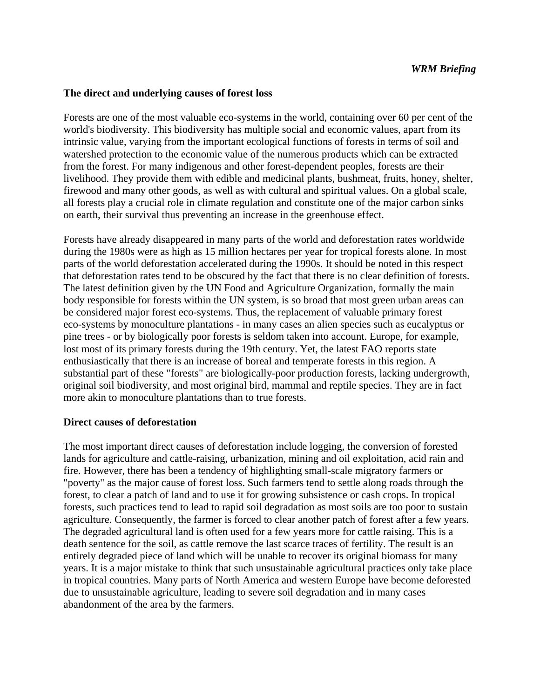#### **The direct and underlying causes of forest loss**

Forests are one of the most valuable eco-systems in the world, containing over 60 per cent of the world's biodiversity. This biodiversity has multiple social and economic values, apart from its intrinsic value, varying from the important ecological functions of forests in terms of soil and watershed protection to the economic value of the numerous products which can be extracted from the forest. For many indigenous and other forest-dependent peoples, forests are their livelihood. They provide them with edible and medicinal plants, bushmeat, fruits, honey, shelter, firewood and many other goods, as well as with cultural and spiritual values. On a global scale, all forests play a crucial role in climate regulation and constitute one of the major carbon sinks on earth, their survival thus preventing an increase in the greenhouse effect.

Forests have already disappeared in many parts of the world and deforestation rates worldwide during the 1980s were as high as 15 million hectares per year for tropical forests alone. In most parts of the world deforestation accelerated during the 1990s. It should be noted in this respect that deforestation rates tend to be obscured by the fact that there is no clear definition of forests. The latest definition given by the UN Food and Agriculture Organization, formally the main body responsible for forests within the UN system, is so broad that most green urban areas can be considered major forest eco-systems. Thus, the replacement of valuable primary forest eco-systems by monoculture plantations - in many cases an alien species such as eucalyptus or pine trees - or by biologically poor forests is seldom taken into account. Europe, for example, lost most of its primary forests during the 19th century. Yet, the latest FAO reports state enthusiastically that there is an increase of boreal and temperate forests in this region. A substantial part of these "forests" are biologically-poor production forests, lacking undergrowth, original soil biodiversity, and most original bird, mammal and reptile species. They are in fact more akin to monoculture plantations than to true forests.

#### **Direct causes of deforestation**

The most important direct causes of deforestation include logging, the conversion of forested lands for agriculture and cattle-raising, urbanization, mining and oil exploitation, acid rain and fire. However, there has been a tendency of highlighting small-scale migratory farmers or "poverty" as the major cause of forest loss. Such farmers tend to settle along roads through the forest, to clear a patch of land and to use it for growing subsistence or cash crops. In tropical forests, such practices tend to lead to rapid soil degradation as most soils are too poor to sustain agriculture. Consequently, the farmer is forced to clear another patch of forest after a few years. The degraded agricultural land is often used for a few years more for cattle raising. This is a death sentence for the soil, as cattle remove the last scarce traces of fertility. The result is an entirely degraded piece of land which will be unable to recover its original biomass for many years. It is a major mistake to think that such unsustainable agricultural practices only take place in tropical countries. Many parts of North America and western Europe have become deforested due to unsustainable agriculture, leading to severe soil degradation and in many cases abandonment of the area by the farmers.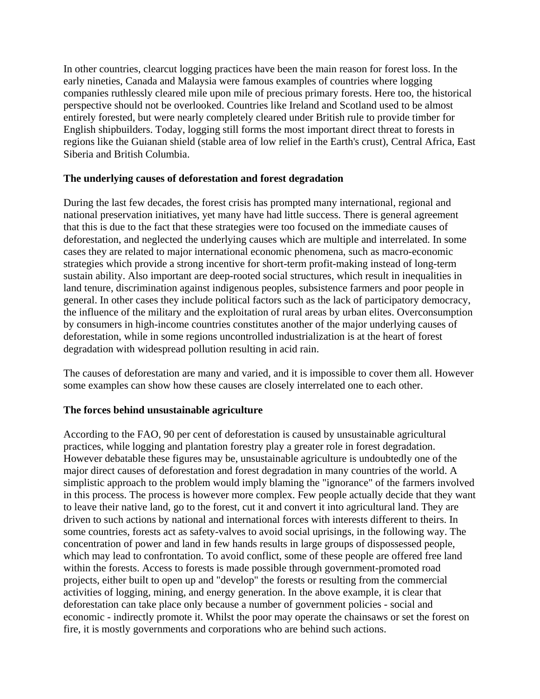In other countries, clearcut logging practices have been the main reason for forest loss. In the early nineties, Canada and Malaysia were famous examples of countries where logging companies ruthlessly cleared mile upon mile of precious primary forests. Here too, the historical perspective should not be overlooked. Countries like Ireland and Scotland used to be almost entirely forested, but were nearly completely cleared under British rule to provide timber for English shipbuilders. Today, logging still forms the most important direct threat to forests in regions like the Guianan shield (stable area of low relief in the Earth's crust), Central Africa, East Siberia and British Columbia.

## **The underlying causes of deforestation and forest degradation**

During the last few decades, the forest crisis has prompted many international, regional and national preservation initiatives, yet many have had little success. There is general agreement that this is due to the fact that these strategies were too focused on the immediate causes of deforestation, and neglected the underlying causes which are multiple and interrelated. In some cases they are related to major international economic phenomena, such as macro-economic strategies which provide a strong incentive for short-term profit-making instead of long-term sustain ability. Also important are deep-rooted social structures, which result in inequalities in land tenure, discrimination against indigenous peoples, subsistence farmers and poor people in general. In other cases they include political factors such as the lack of participatory democracy, the influence of the military and the exploitation of rural areas by urban elites. Overconsumption by consumers in high-income countries constitutes another of the major underlying causes of deforestation, while in some regions uncontrolled industrialization is at the heart of forest degradation with widespread pollution resulting in acid rain.

The causes of deforestation are many and varied, and it is impossible to cover them all. However some examples can show how these causes are closely interrelated one to each other.

# **The forces behind unsustainable agriculture**

According to the FAO, 90 per cent of deforestation is caused by unsustainable agricultural practices, while logging and plantation forestry play a greater role in forest degradation. However debatable these figures may be, unsustainable agriculture is undoubtedly one of the major direct causes of deforestation and forest degradation in many countries of the world. A simplistic approach to the problem would imply blaming the "ignorance" of the farmers involved in this process. The process is however more complex. Few people actually decide that they want to leave their native land, go to the forest, cut it and convert it into agricultural land. They are driven to such actions by national and international forces with interests different to theirs. In some countries, forests act as safety-valves to avoid social uprisings, in the following way. The concentration of power and land in few hands results in large groups of dispossessed people, which may lead to confrontation. To avoid conflict, some of these people are offered free land within the forests. Access to forests is made possible through government-promoted road projects, either built to open up and "develop" the forests or resulting from the commercial activities of logging, mining, and energy generation. In the above example, it is clear that deforestation can take place only because a number of government policies - social and economic - indirectly promote it. Whilst the poor may operate the chainsaws or set the forest on fire, it is mostly governments and corporations who are behind such actions.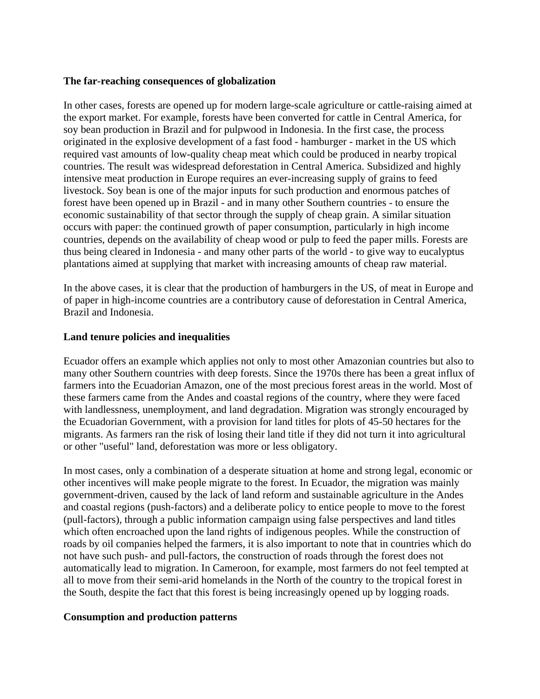#### **The far-reaching consequences of globalization**

In other cases, forests are opened up for modern large-scale agriculture or cattle-raising aimed at the export market. For example, forests have been converted for cattle in Central America, for soy bean production in Brazil and for pulpwood in Indonesia. In the first case, the process originated in the explosive development of a fast food - hamburger - market in the US which required vast amounts of low-quality cheap meat which could be produced in nearby tropical countries. The result was widespread deforestation in Central America. Subsidized and highly intensive meat production in Europe requires an ever-increasing supply of grains to feed livestock. Soy bean is one of the major inputs for such production and enormous patches of forest have been opened up in Brazil - and in many other Southern countries - to ensure the economic sustainability of that sector through the supply of cheap grain. A similar situation occurs with paper: the continued growth of paper consumption, particularly in high income countries, depends on the availability of cheap wood or pulp to feed the paper mills. Forests are thus being cleared in Indonesia - and many other parts of the world - to give way to eucalyptus plantations aimed at supplying that market with increasing amounts of cheap raw material.

In the above cases, it is clear that the production of hamburgers in the US, of meat in Europe and of paper in high-income countries are a contributory cause of deforestation in Central America, Brazil and Indonesia.

## **Land tenure policies and inequalities**

Ecuador offers an example which applies not only to most other Amazonian countries but also to many other Southern countries with deep forests. Since the 1970s there has been a great influx of farmers into the Ecuadorian Amazon, one of the most precious forest areas in the world. Most of these farmers came from the Andes and coastal regions of the country, where they were faced with landlessness, unemployment, and land degradation. Migration was strongly encouraged by the Ecuadorian Government, with a provision for land titles for plots of 45-50 hectares for the migrants. As farmers ran the risk of losing their land title if they did not turn it into agricultural or other "useful" land, deforestation was more or less obligatory.

In most cases, only a combination of a desperate situation at home and strong legal, economic or other incentives will make people migrate to the forest. In Ecuador, the migration was mainly government-driven, caused by the lack of land reform and sustainable agriculture in the Andes and coastal regions (push-factors) and a deliberate policy to entice people to move to the forest (pull-factors), through a public information campaign using false perspectives and land titles which often encroached upon the land rights of indigenous peoples. While the construction of roads by oil companies helped the farmers, it is also important to note that in countries which do not have such push- and pull-factors, the construction of roads through the forest does not automatically lead to migration. In Cameroon, for example, most farmers do not feel tempted at all to move from their semi-arid homelands in the North of the country to the tropical forest in the South, despite the fact that this forest is being increasingly opened up by logging roads.

# **Consumption and production patterns**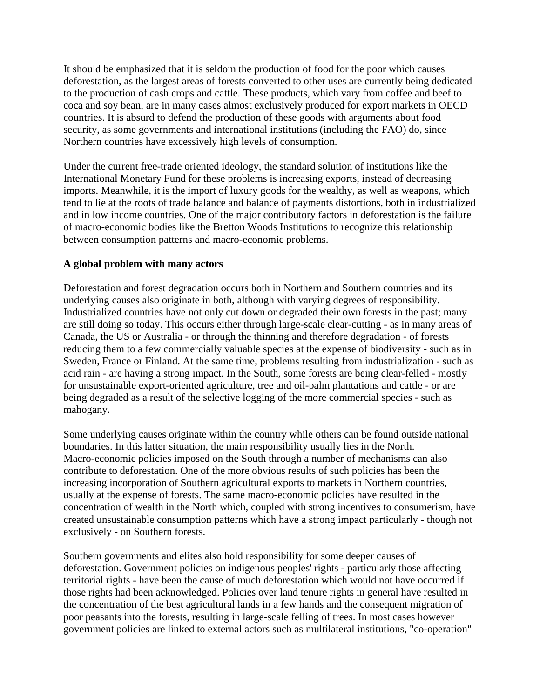It should be emphasized that it is seldom the production of food for the poor which causes deforestation, as the largest areas of forests converted to other uses are currently being dedicated to the production of cash crops and cattle. These products, which vary from coffee and beef to coca and soy bean, are in many cases almost exclusively produced for export markets in OECD countries. It is absurd to defend the production of these goods with arguments about food security, as some governments and international institutions (including the FAO) do, since Northern countries have excessively high levels of consumption.

Under the current free-trade oriented ideology, the standard solution of institutions like the International Monetary Fund for these problems is increasing exports, instead of decreasing imports. Meanwhile, it is the import of luxury goods for the wealthy, as well as weapons, which tend to lie at the roots of trade balance and balance of payments distortions, both in industrialized and in low income countries. One of the major contributory factors in deforestation is the failure of macro-economic bodies like the Bretton Woods Institutions to recognize this relationship between consumption patterns and macro-economic problems.

# **A global problem with many actors**

Deforestation and forest degradation occurs both in Northern and Southern countries and its underlying causes also originate in both, although with varying degrees of responsibility. Industrialized countries have not only cut down or degraded their own forests in the past; many are still doing so today. This occurs either through large-scale clear-cutting - as in many areas of Canada, the US or Australia - or through the thinning and therefore degradation - of forests reducing them to a few commercially valuable species at the expense of biodiversity - such as in Sweden, France or Finland. At the same time, problems resulting from industrialization - such as acid rain - are having a strong impact. In the South, some forests are being clear-felled - mostly for unsustainable export-oriented agriculture, tree and oil-palm plantations and cattle - or are being degraded as a result of the selective logging of the more commercial species - such as mahogany.

Some underlying causes originate within the country while others can be found outside national boundaries. In this latter situation, the main responsibility usually lies in the North. Macro-economic policies imposed on the South through a number of mechanisms can also contribute to deforestation. One of the more obvious results of such policies has been the increasing incorporation of Southern agricultural exports to markets in Northern countries, usually at the expense of forests. The same macro-economic policies have resulted in the concentration of wealth in the North which, coupled with strong incentives to consumerism, have created unsustainable consumption patterns which have a strong impact particularly - though not exclusively - on Southern forests.

Southern governments and elites also hold responsibility for some deeper causes of deforestation. Government policies on indigenous peoples' rights - particularly those affecting territorial rights - have been the cause of much deforestation which would not have occurred if those rights had been acknowledged. Policies over land tenure rights in general have resulted in the concentration of the best agricultural lands in a few hands and the consequent migration of poor peasants into the forests, resulting in large-scale felling of trees. In most cases however government policies are linked to external actors such as multilateral institutions, "co-operation"